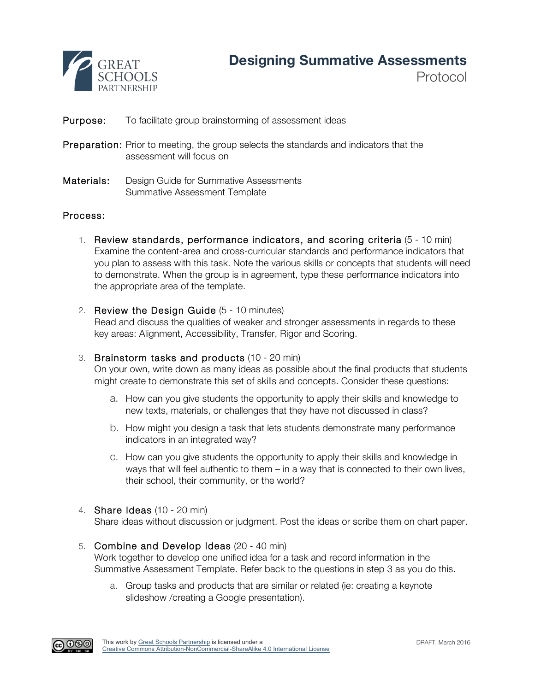

Protocol

# **Purpose:** To facilitate group brainstorming of assessment ideas

- Preparation: Prior to meeting, the group selects the standards and indicators that the assessment will focus on
- Materials: Design Guide for Summative Assessments Summative Assessment Template

## Process:

- 1. Review standards, performance indicators, and scoring criteria (5 10 min) Examine the content-area and cross-curricular standards and performance indicators that you plan to assess with this task. Note the various skills or concepts that students will need to demonstrate. When the group is in agreement, type these performance indicators into the appropriate area of the template.
- 2. Review the Design Guide (5 10 minutes)

Read and discuss the qualities of weaker and stronger assessments in regards to these key areas: Alignment, Accessibility, Transfer, Rigor and Scoring.

## 3. Brainstorm tasks and products (10 - 20 min)

On your own, write down as many ideas as possible about the final products that students might create to demonstrate this set of skills and concepts. Consider these questions:

- a. How can you give students the opportunity to apply their skills and knowledge to new texts, materials, or challenges that they have not discussed in class?
- b. How might you design a task that lets students demonstrate many performance indicators in an integrated way?
- c. How can you give students the opportunity to apply their skills and knowledge in ways that will feel authentic to them – in a way that is connected to their own lives, their school, their community, or the world?
- 4. Share Ideas (10 20 min)

Share ideas without discussion or judgment. Post the ideas or scribe them on chart paper.

- 5. Combine and Develop Ideas (20 40 min) Work together to develop one unified idea for a task and record information in the Summative Assessment Template. Refer back to the questions in step 3 as you do this.
	- a. Group tasks and products that are similar or related (ie: creating a keynote slideshow /creating a Google presentation).